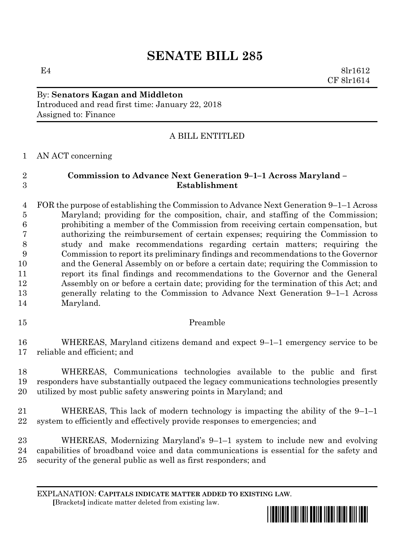# **SENATE BILL 285**

E4 8lr1612 CF 8lr1614

# By: **Senators Kagan and Middleton** Introduced and read first time: January 22, 2018 Assigned to: Finance

# A BILL ENTITLED

# AN ACT concerning

# **Commission to Advance Next Generation 9–1–1 Across Maryland – Establishment**

 FOR the purpose of establishing the Commission to Advance Next Generation 9–1–1 Across Maryland; providing for the composition, chair, and staffing of the Commission; prohibiting a member of the Commission from receiving certain compensation, but authorizing the reimbursement of certain expenses; requiring the Commission to study and make recommendations regarding certain matters; requiring the Commission to report its preliminary findings and recommendations to the Governor and the General Assembly on or before a certain date; requiring the Commission to report its final findings and recommendations to the Governor and the General Assembly on or before a certain date; providing for the termination of this Act; and generally relating to the Commission to Advance Next Generation 9–1–1 Across Maryland.

# Preamble

 WHEREAS, Maryland citizens demand and expect 9–1–1 emergency service to be reliable and efficient; and

 WHEREAS, Communications technologies available to the public and first responders have substantially outpaced the legacy communications technologies presently utilized by most public safety answering points in Maryland; and

 WHEREAS, This lack of modern technology is impacting the ability of the 9–1–1 system to efficiently and effectively provide responses to emergencies; and

 WHEREAS, Modernizing Maryland's 9–1–1 system to include new and evolving capabilities of broadband voice and data communications is essential for the safety and security of the general public as well as first responders; and

EXPLANATION: **CAPITALS INDICATE MATTER ADDED TO EXISTING LAW**.  **[**Brackets**]** indicate matter deleted from existing law.

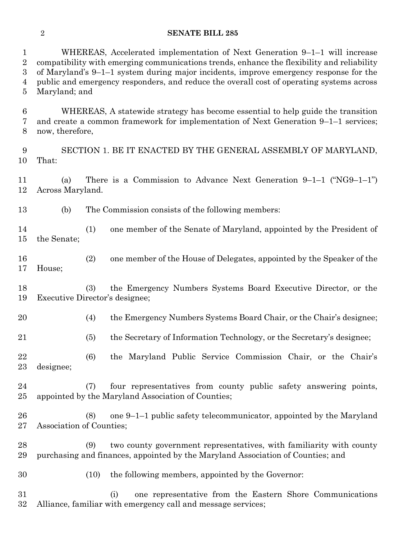#### **SENATE BILL 285**

WHEREAS, Accelerated implementation of Next Generation 9–1–1 will increase

 compatibility with emerging communications trends, enhance the flexibility and reliability of Maryland's 9–1–1 system during major incidents, improve emergency response for the public and emergency responders, and reduce the overall cost of operating systems across Maryland; and WHEREAS, A statewide strategy has become essential to help guide the transition and create a common framework for implementation of Next Generation 9–1–1 services; now, therefore, SECTION 1. BE IT ENACTED BY THE GENERAL ASSEMBLY OF MARYLAND, That: (a) There is a Commission to Advance Next Generation 9–1–1 ("NG9–1–1") Across Maryland. (b) The Commission consists of the following members: (1) one member of the Senate of Maryland, appointed by the President of the Senate; (2) one member of the House of Delegates, appointed by the Speaker of the House; (3) the Emergency Numbers Systems Board Executive Director, or the Executive Director's designee; (4) the Emergency Numbers Systems Board Chair, or the Chair's designee; (5) the Secretary of Information Technology, or the Secretary's designee;

 (6) the Maryland Public Service Commission Chair, or the Chair's designee;

 (7) four representatives from county public safety answering points, appointed by the Maryland Association of Counties;

 (8) one 9–1–1 public safety telecommunicator, appointed by the Maryland Association of Counties;

 (9) two county government representatives, with familiarity with county purchasing and finances, appointed by the Maryland Association of Counties; and

(10) the following members, appointed by the Governor:

 (i) one representative from the Eastern Shore Communications Alliance, familiar with emergency call and message services;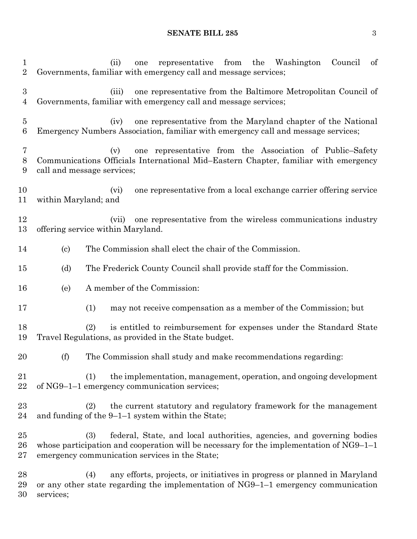#### **SENATE BILL 285** 3

 (ii) one representative from the Washington Council of Governments, familiar with emergency call and message services; (iii) one representative from the Baltimore Metropolitan Council of Governments, familiar with emergency call and message services; (iv) one representative from the Maryland chapter of the National Emergency Numbers Association, familiar with emergency call and message services; (v) one representative from the Association of Public–Safety Communications Officials International Mid–Eastern Chapter, familiar with emergency call and message services; (vi) one representative from a local exchange carrier offering service within Maryland; and (vii) one representative from the wireless communications industry offering service within Maryland. (c) The Commission shall elect the chair of the Commission. (d) The Frederick County Council shall provide staff for the Commission. (e) A member of the Commission: (1) may not receive compensation as a member of the Commission; but (2) is entitled to reimbursement for expenses under the Standard State Travel Regulations, as provided in the State budget. (f) The Commission shall study and make recommendations regarding: (1) the implementation, management, operation, and ongoing development of NG9–1–1 emergency communication services; (2) the current statutory and regulatory framework for the management 24 and funding of the  $9-1-1$  system within the State; (3) federal, State, and local authorities, agencies, and governing bodies whose participation and cooperation will be necessary for the implementation of NG9–1–1 emergency communication services in the State; (4) any efforts, projects, or initiatives in progress or planned in Maryland or any other state regarding the implementation of NG9–1–1 emergency communication services;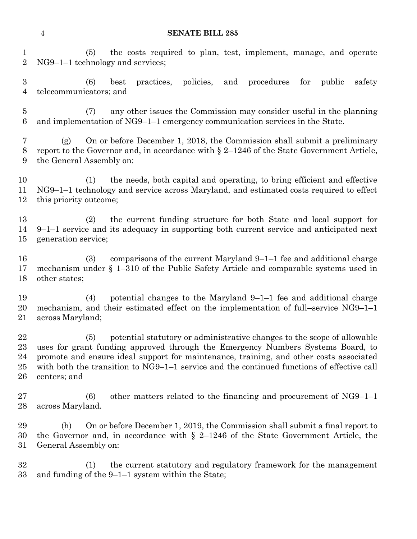#### **SENATE BILL 285**

 (5) the costs required to plan, test, implement, manage, and operate NG9–1–1 technology and services;

 (6) best practices, policies, and procedures for public safety telecommunicators; and

 (7) any other issues the Commission may consider useful in the planning and implementation of NG9–1–1 emergency communication services in the State.

 (g) On or before December 1, 2018, the Commission shall submit a preliminary report to the Governor and, in accordance with § 2–1246 of the State Government Article, the General Assembly on:

 (1) the needs, both capital and operating, to bring efficient and effective NG9–1–1 technology and service across Maryland, and estimated costs required to effect this priority outcome;

 (2) the current funding structure for both State and local support for 9–1–1 service and its adequacy in supporting both current service and anticipated next generation service;

 (3) comparisons of the current Maryland 9–1–1 fee and additional charge mechanism under § 1–310 of the Public Safety Article and comparable systems used in other states;

 (4) potential changes to the Maryland 9–1–1 fee and additional charge mechanism, and their estimated effect on the implementation of full–service NG9–1–1 across Maryland;

 (5) potential statutory or administrative changes to the scope of allowable uses for grant funding approved through the Emergency Numbers Systems Board, to promote and ensure ideal support for maintenance, training, and other costs associated with both the transition to NG9–1–1 service and the continued functions of effective call centers; and

 (6) other matters related to the financing and procurement of NG9–1–1 across Maryland.

 (h) On or before December 1, 2019, the Commission shall submit a final report to the Governor and, in accordance with § 2–1246 of the State Government Article, the General Assembly on:

 (1) the current statutory and regulatory framework for the management and funding of the 9–1–1 system within the State;